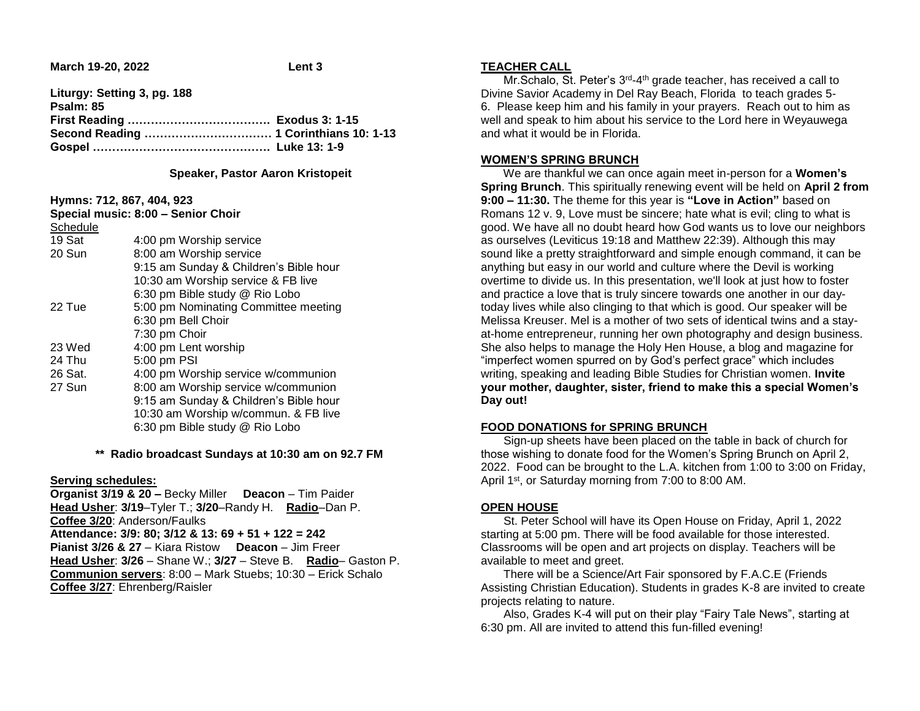**March 19-20, 2022 Lent 3** 

| Liturgy: Setting 3, pg. 188 |  |
|-----------------------------|--|
| Psalm: 85                   |  |
|                             |  |
|                             |  |
|                             |  |

#### **Speaker, Pastor Aaron Kristopeit**

**Hymns: 712, 867, 404, 923**

| Special music: 8:00 - Senior Choir |                                        |
|------------------------------------|----------------------------------------|
| Schedule                           |                                        |
| 19 Sat                             | 4:00 pm Worship service                |
| 20 Sun                             | 8:00 am Worship service                |
|                                    | 9:15 am Sunday & Children's Bible hour |
|                                    | 10:30 am Worship service & FB live     |
|                                    | 6:30 pm Bible study @ Rio Lobo         |
| 22 Tue                             | 5:00 pm Nominating Committee meeting   |
|                                    | 6:30 pm Bell Choir                     |
|                                    | 7:30 pm Choir                          |
| 23 Wed                             | 4:00 pm Lent worship                   |
| 24 Thu                             | 5:00 pm PSI                            |
| 26 Sat.                            | 4:00 pm Worship service w/communion    |
| 27 Sun                             | 8:00 am Worship service w/communion    |
|                                    | 9:15 am Sunday & Children's Bible hour |
|                                    | 10:30 am Worship w/commun. & FB live   |
|                                    | 6:30 pm Bible study @ Rio Lobo         |
|                                    |                                        |

**\*\* Radio broadcast Sundays at 10:30 am on 92.7 FM**

## **Serving schedules:**

**Organist 3/19 & 20 –** Becky Miller **Deacon** – Tim Paider **Head Usher**: **3/19**–Tyler T.; **3/20**–Randy H. **Radio**–Dan P. **Coffee 3/20**: Anderson/Faulks **Attendance: 3/9: 80; 3/12 & 13: 69 + 51 + 122 = 242 Pianist 3/26 & 27** – Kiara Ristow **Deacon** – Jim Freer **Head Usher**: **3/26** – Shane W.; **3/27** – Steve B. **Radio**– Gaston P. **Communion servers**: 8:00 – Mark Stuebs; 10:30 – Erick Schalo **Coffee 3/27**: Ehrenberg/Raisler

#### **TEACHER CALL**

Mr. Schalo, St. Peter's 3<sup>rd</sup>-4<sup>th</sup> grade teacher, has received a call to Divine Savior Academy in Del Ray Beach, Florida to teach grades 5- 6. Please keep him and his family in your prayers. Reach out to him as well and speak to him about his service to the Lord here in Weyauwega and what it would be in Florida.

## **WOMEN'S SPRING BRUNCH**

 We are thankful we can once again meet in-person for a **Women's Spring Brunch**. This spiritually renewing event will be held on **April 2 from 9:00 – 11:30.** The theme for this year is **"Love in Action"** based on Romans 12 v. 9, Love must be sincere; hate what is evil; cling to what is good. We have all no doubt heard how God wants us to love our neighbors as ourselves (Leviticus 19:18 and Matthew 22:39). Although this may sound like a pretty straightforward and simple enough command, it can be anything but easy in our world and culture where the Devil is working overtime to divide us. In this presentation, we'll look at just how to foster and practice a love that is truly sincere towards one another in our daytoday lives while also clinging to that which is good. Our speaker will be Melissa Kreuser. Mel is a mother of two sets of identical twins and a stayat-home entrepreneur, running her own photography and design business. She also helps to manage the Holy Hen House, a blog and magazine for "imperfect women spurred on by God's perfect grace" which includes writing, speaking and leading Bible Studies for Christian women. **Invite your mother, daughter, sister, friend to make this a special Women's Day out!** 

# **FOOD DONATIONS for SPRING BRUNCH**

 Sign-up sheets have been placed on the table in back of church for those wishing to donate food for the Women's Spring Brunch on April 2, 2022. Food can be brought to the L.A. kitchen from 1:00 to 3:00 on Friday, April 1<sup>st</sup>, or Saturday morning from 7:00 to 8:00 AM.

# **OPEN HOUSE**

 St. Peter School will have its Open House on Friday, April 1, 2022 starting at 5:00 pm. There will be food available for those interested. Classrooms will be open and art projects on display. Teachers will be available to meet and greet.

 There will be a Science/Art Fair sponsored by F.A.C.E (Friends Assisting Christian Education). Students in grades K-8 are invited to create projects relating to nature.

 Also, Grades K-4 will put on their play "Fairy Tale News", starting at 6:30 pm. All are invited to attend this fun-filled evening!